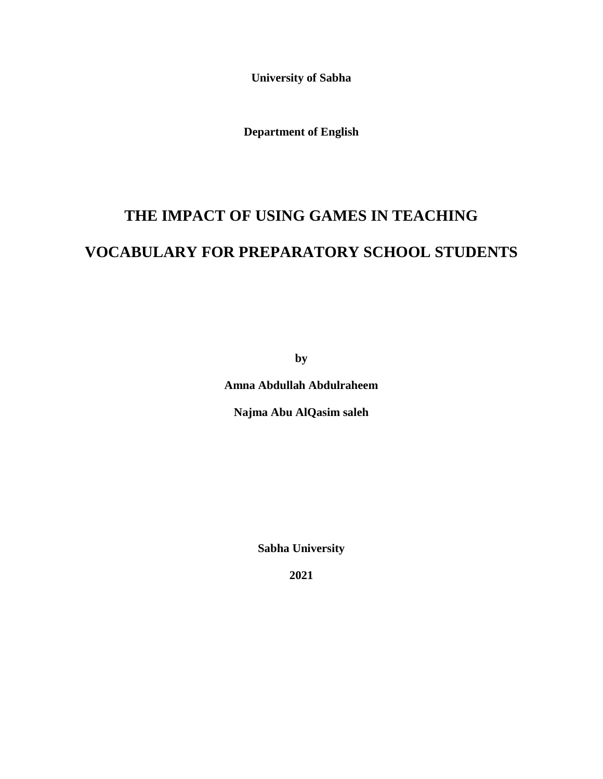**University of Sabha**

**Department of English**

# **THE IMPACT OF USING GAMES IN TEACHING VOCABULARY FOR PREPARATORY SCHOOL STUDENTS**

**by**

**Amna Abdullah Abdulraheem**

**Najma Abu AlQasim saleh**

**Sabha University**

**2021**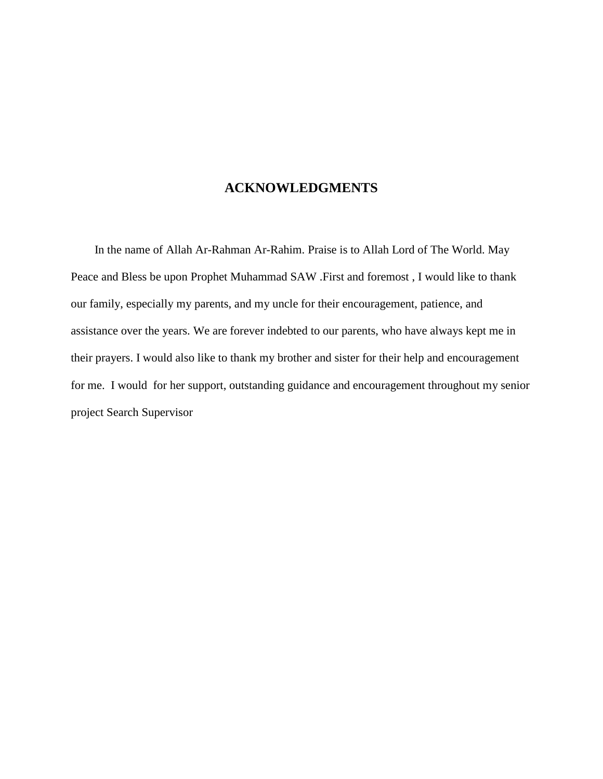### **ACKNOWLEDGMENTS**

 In the name of Allah Ar-Rahman Ar-Rahim. Praise is to Allah Lord of The World. May Peace and Bless be upon Prophet Muhammad SAW .First and foremost , I would like to thank our family, especially my parents, and my uncle for their encouragement, patience, and assistance over the years. We are forever indebted to our parents, who have always kept me in their prayers. I would also like to thank my brother and sister for their help and encouragement for me. I would for her support, outstanding guidance and encouragement throughout my senior project Search Supervisor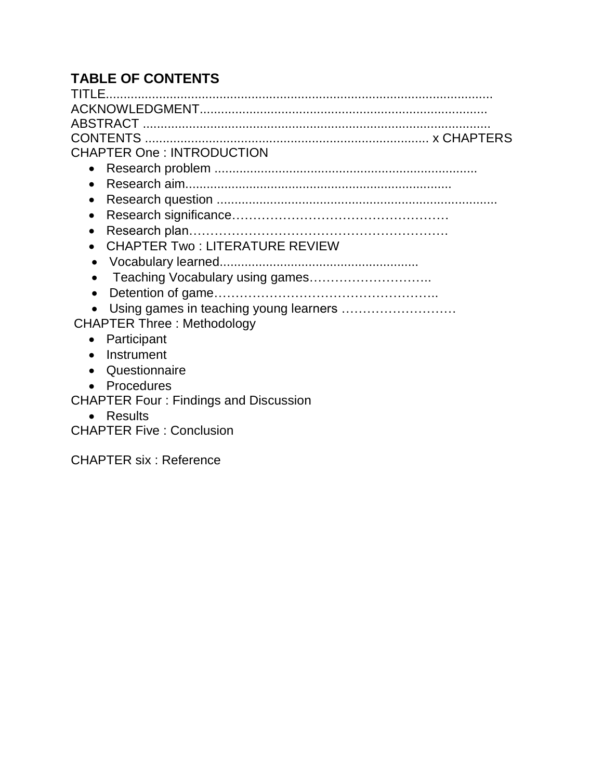# **TABLE OF CONTENTS**

| <u>TITLE…………………………………………………………………………………</u>        |
|----------------------------------------------------|
|                                                    |
|                                                    |
|                                                    |
|                                                    |
| <b>CHAPTER One: INTRODUCTION</b>                   |
|                                                    |
| $\bullet$                                          |
| $\bullet$                                          |
| $\bullet$                                          |
| $\bullet$                                          |
| <b>CHAPTER Two: LITERATURE REVIEW</b><br>$\bullet$ |
| $\bullet$                                          |
| $\bullet$                                          |
| $\bullet$                                          |
| Using games in teaching young learners             |
| <b>CHAPTER Three: Methodology</b>                  |
| Participant                                        |
| Instrument                                         |
| Questionnaire<br>$\bullet$                         |
| Procedures<br>$\bullet$                            |
| <b>CHAPTER Four: Findings and Discussion</b>       |
| <b>Results</b>                                     |
| <b>CHAPTER Five: Conclusion</b>                    |

CHAPTER six : Reference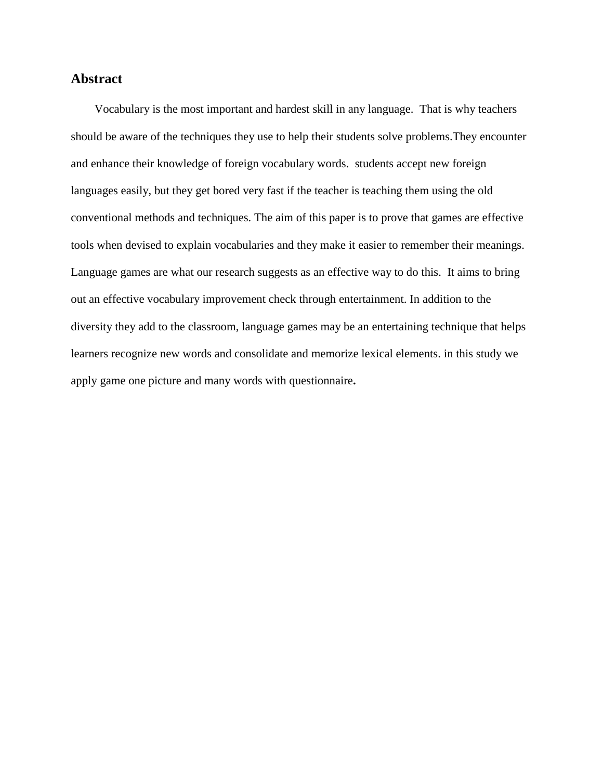### **Abstract**

 Vocabulary is the most important and hardest skill in any language. That is why teachers should be aware of the techniques they use to help their students solve problems.They encounter and enhance their knowledge of foreign vocabulary words. students accept new foreign languages easily, but they get bored very fast if the teacher is teaching them using the old conventional methods and techniques. The aim of this paper is to prove that games are effective tools when devised to explain vocabularies and they make it easier to remember their meanings. Language games are what our research suggests as an effective way to do this. It aims to bring out an effective vocabulary improvement check through entertainment. In addition to the diversity they add to the classroom, language games may be an entertaining technique that helps learners recognize new words and consolidate and memorize lexical elements. in this study we apply game one picture and many words with questionnaire**.**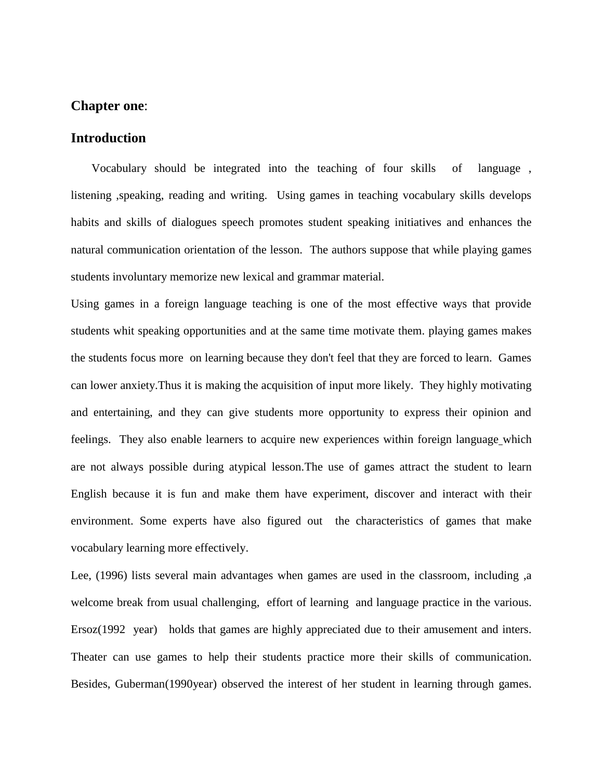### **Chapter one**:

### **Introduction**

 Vocabulary should be integrated into the teaching of four skills of language , listening ,speaking, reading and writing. Using games in teaching vocabulary skills develops habits and skills of dialogues speech promotes student speaking initiatives and enhances the natural communication orientation of the lesson. The authors suppose that while playing games students involuntary memorize new lexical and grammar material.

Using games in a foreign language teaching is one of the most effective ways that provide students whit speaking opportunities and at the same time motivate them. playing games makes the students focus more on learning because they don't feel that they are forced to learn. Games can lower anxiety.Thus it is making the acquisition of input more likely. They highly motivating and entertaining, and they can give students more opportunity to express their opinion and feelings. They also enable learners to acquire new experiences within foreign language which are not always possible during atypical lesson.The use of games attract the student to learn English because it is fun and make them have experiment, discover and interact with their environment. Some experts have also figured out the characteristics of games that make vocabulary learning more effectively.

Lee, (1996) lists several main advantages when games are used in the classroom, including ,a welcome break from usual challenging, effort of learning and language practice in the various. Ersoz(1992 year) holds that games are highly appreciated due to their amusement and inters. Theater can use games to help their students practice more their skills of communication. Besides, Guberman(1990year) observed the interest of her student in learning through games.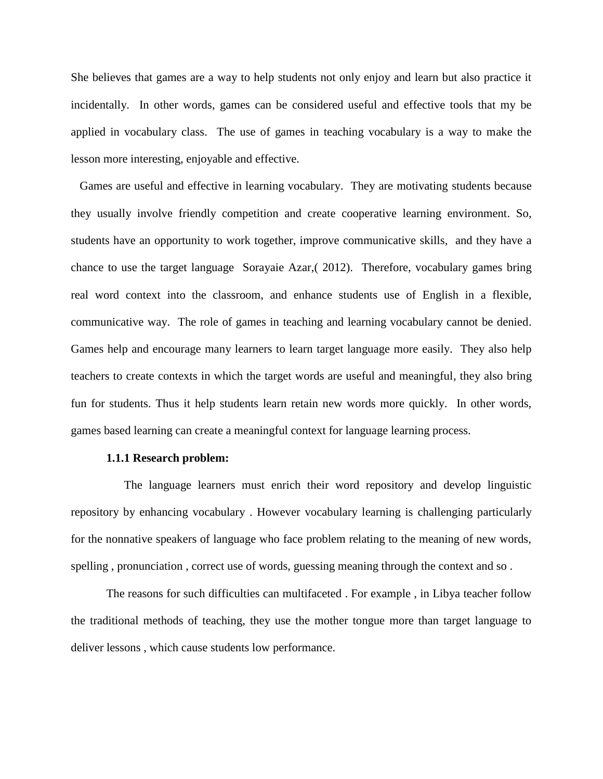She believes that games are a way to help students not only enjoy and learn but also practice it incidentally. In other words, games can be considered useful and effective tools that my be applied in vocabulary class. The use of games in teaching vocabulary is a way to make the lesson more interesting, enjoyable and effective.

 Games are useful and effective in learning vocabulary. They are motivating students because they usually involve friendly competition and create cooperative learning environment. So, students have an opportunity to work together, improve communicative skills, and they have a chance to use the target language Sorayaie Azar,( 2012). Therefore, vocabulary games bring real word context into the classroom, and enhance students use of English in a flexible, communicative way. The role of games in teaching and learning vocabulary cannot be denied. Games help and encourage many learners to learn target language more easily. They also help teachers to create contexts in which the target words are useful and meaningful, they also bring fun for students. Thus it help students learn retain new words more quickly. In other words, games based learning can create a meaningful context for language learning process.

#### **1.1.1 Research problem:**

 The language learners must enrich their word repository and develop linguistic repository by enhancing vocabulary . However vocabulary learning is challenging particularly for the nonnative speakers of language who face problem relating to the meaning of new words, spelling , pronunciation , correct use of words, guessing meaning through the context and so .

The reasons for such difficulties can multifaceted . For example , in Libya teacher follow the traditional methods of teaching, they use the mother tongue more than target language to deliver lessons , which cause students low performance.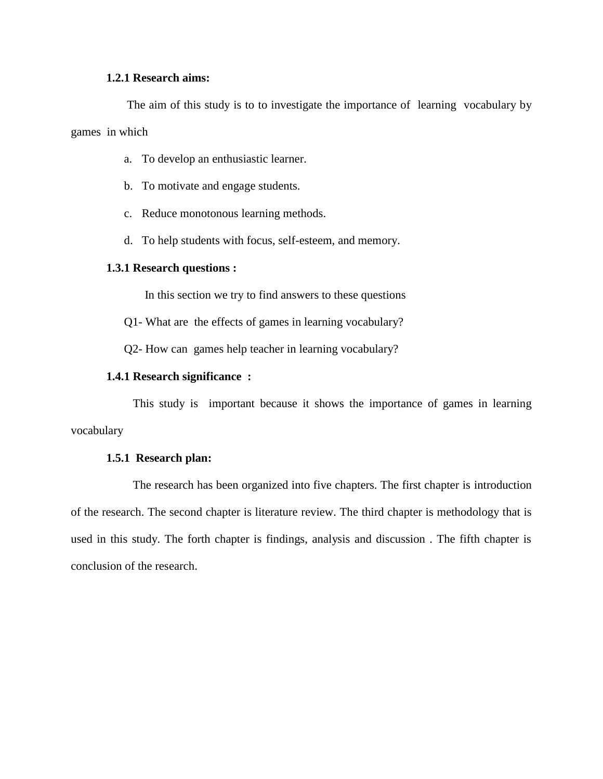### **1.2.1 Research aims:**

 The aim of this study is to to investigate the importance of learning vocabulary by games in which

- a. To develop an enthusiastic learner.
- b. To motivate and engage students.
- c. Reduce monotonous learning methods.
- d. To help students with focus, self-esteem, and memory.

#### **1.3.1 Research questions :**

In this section we try to find answers to these questions

Q1- What are the effects of games in learning vocabulary?

Q2- How can games help teacher in learning vocabulary?

#### **1.4.1 Research significance :**

 This study is important because it shows the importance of games in learning vocabulary

### **1.5.1 Research plan:**

 The research has been organized into five chapters. The first chapter is introduction of the research. The second chapter is literature review. The third chapter is methodology that is used in this study. The forth chapter is findings, analysis and discussion . The fifth chapter is conclusion of the research.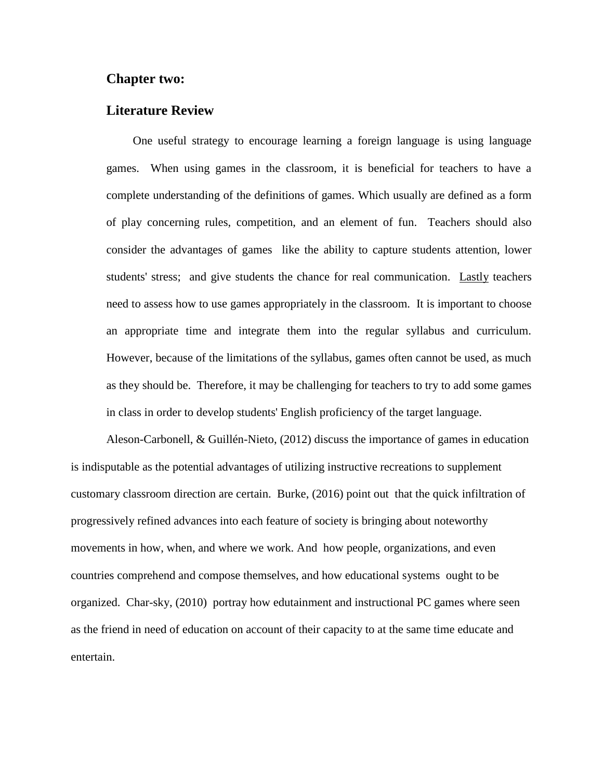### **Chapter two:**

### **Literature Review**

 One useful strategy to encourage learning a foreign language is using language games. When using games in the classroom, it is beneficial for teachers to have a complete understanding of the definitions of games. Which usually are defined as a form of play concerning rules, competition, and an element of fun. Teachers should also consider the advantages of games like the ability to capture students attention, lower students' stress; and give students the chance for real communication. Lastly teachers need to assess how to use games appropriately in the classroom. It is important to choose an appropriate time and integrate them into the regular syllabus and curriculum. However, because of the limitations of the syllabus, games often cannot be used, as much as they should be. Therefore, it may be challenging for teachers to try to add some games in class in order to develop students' English proficiency of the target language.

Aleson-Carbonell, & Guillén-Nieto, (2012) discuss the importance of games in education is indisputable as the potential advantages of utilizing instructive recreations to supplement customary classroom direction are certain. Burke, (2016) point out that the quick infiltration of progressively refined advances into each feature of society is bringing about noteworthy movements in how, when, and where we work. And how people, organizations, and even countries comprehend and compose themselves, and how educational systems ought to be organized. Char-sky, (2010) portray how edutainment and instructional PC games where seen as the friend in need of education on account of their capacity to at the same time educate and entertain.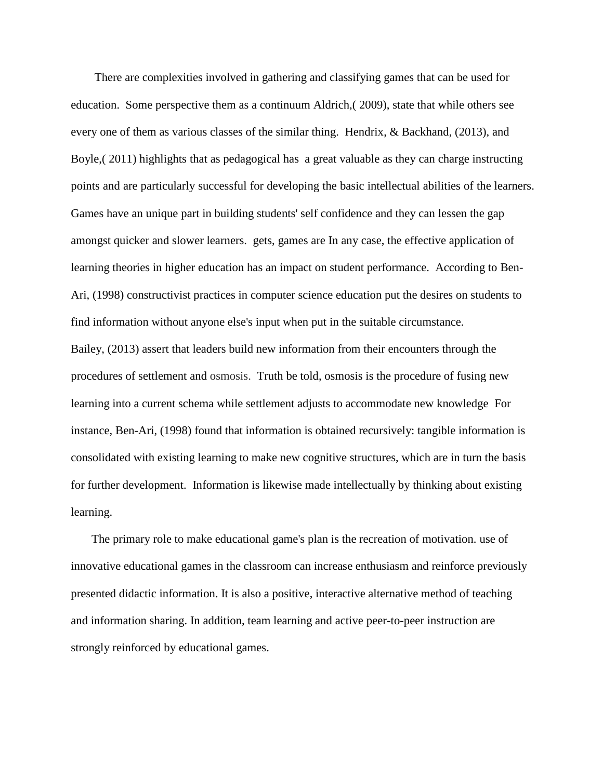There are complexities involved in gathering and classifying games that can be used for education. Some perspective them as a continuum Aldrich,( 2009), state that while others see every one of them as various classes of the similar thing. Hendrix, & Backhand, (2013), and Boyle,( 2011) highlights that as pedagogical has a great valuable as they can charge instructing points and are particularly successful for developing the basic intellectual abilities of the learners. Games have an unique part in building students' self confidence and they can lessen the gap amongst quicker and slower learners. gets, games are In any case, the effective application of learning theories in higher education has an impact on student performance. According to Ben-Ari, (1998) constructivist practices in computer science education put the desires on students to find information without anyone else's input when put in the suitable circumstance. Bailey, (2013) assert that leaders build new information from their encounters through the procedures of settlement and osmosis. Truth be told, osmosis is the procedure of fusing new learning into a current schema while settlement adjusts to accommodate new knowledge For instance, Ben-Ari, (1998) found that information is obtained recursively: tangible information is consolidated with existing learning to make new cognitive structures, which are in turn the basis for further development. Information is likewise made intellectually by thinking about existing learning.

 The primary role to make educational game's plan is the recreation of motivation. use of innovative educational games in the classroom can increase enthusiasm and reinforce previously presented didactic information. It is also a positive, interactive alternative method of teaching and information sharing. In addition, team learning and active peer-to-peer instruction are strongly reinforced by educational games.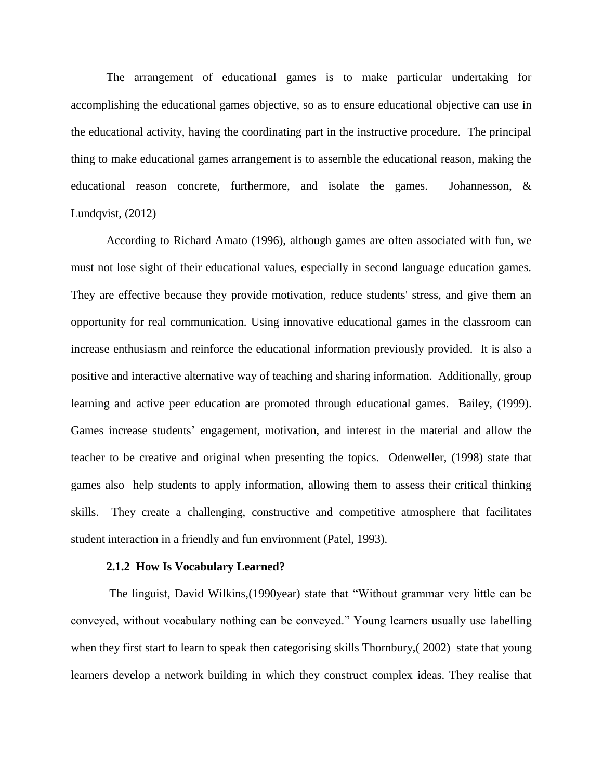The arrangement of educational games is to make particular undertaking for accomplishing the educational games objective, so as to ensure educational objective can use in the educational activity, having the coordinating part in the instructive procedure. The principal thing to make educational games arrangement is to assemble the educational reason, making the educational reason concrete, furthermore, and isolate the games. Johannesson, & Lundqvist,  $(2012)$ 

According to Richard Amato (1996), although games are often associated with fun, we must not lose sight of their educational values, especially in second language education games. They are effective because they provide motivation, reduce students' stress, and give them an opportunity for real communication. Using innovative educational games in the classroom can increase enthusiasm and reinforce the educational information previously provided. It is also a positive and interactive alternative way of teaching and sharing information. Additionally, group learning and active peer education are promoted through educational games. Bailey, (1999). Games increase students' engagement, motivation, and interest in the material and allow the teacher to be creative and original when presenting the topics. Odenweller, (1998) state that games also help students to apply information, allowing them to assess their critical thinking skills. They create a challenging, constructive and competitive atmosphere that facilitates student interaction in a friendly and fun environment (Patel, 1993).

#### **2.1.2 How Is Vocabulary Learned?**

The linguist, David Wilkins,(1990year) state that "Without grammar very little can be conveyed, without vocabulary nothing can be conveyed." Young learners usually use labelling when they first start to learn to speak then categorising skills Thornbury,( 2002) state that young learners develop a network building in which they construct complex ideas. They realise that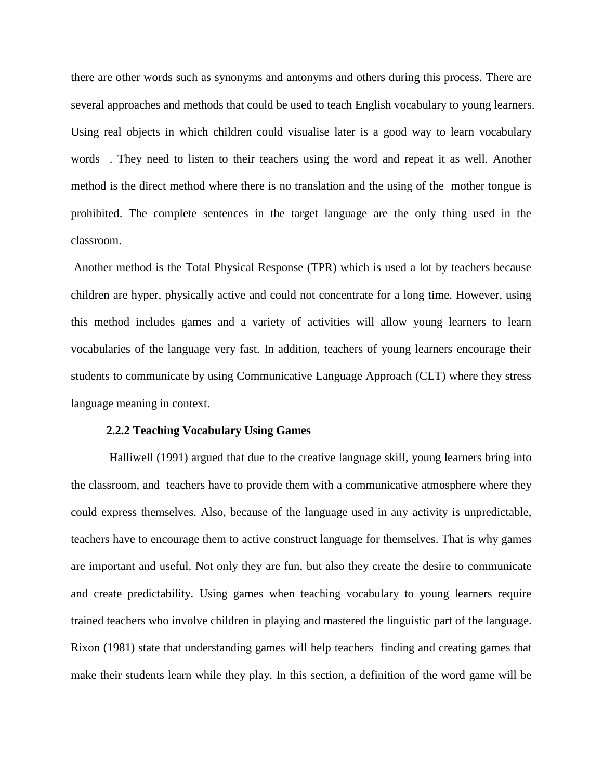there are other words such as synonyms and antonyms and others during this process. There are several approaches and methods that could be used to teach English vocabulary to young learners. Using real objects in which children could visualise later is a good way to learn vocabulary words . They need to listen to their teachers using the word and repeat it as well. Another method is the direct method where there is no translation and the using of the mother tongue is prohibited. The complete sentences in the target language are the only thing used in the classroom.

Another method is the Total Physical Response (TPR) which is used a lot by teachers because children are hyper, physically active and could not concentrate for a long time. However, using this method includes games and a variety of activities will allow young learners to learn vocabularies of the language very fast. In addition, teachers of young learners encourage their students to communicate by using Communicative Language Approach (CLT) where they stress language meaning in context.

### **2.2.2 Teaching Vocabulary Using Games**

 Halliwell (1991) argued that due to the creative language skill, young learners bring into the classroom, and teachers have to provide them with a communicative atmosphere where they could express themselves. Also, because of the language used in any activity is unpredictable, teachers have to encourage them to active construct language for themselves. That is why games are important and useful. Not only they are fun, but also they create the desire to communicate and create predictability. Using games when teaching vocabulary to young learners require trained teachers who involve children in playing and mastered the linguistic part of the language. Rixon (1981) state that understanding games will help teachers finding and creating games that make their students learn while they play. In this section, a definition of the word game will be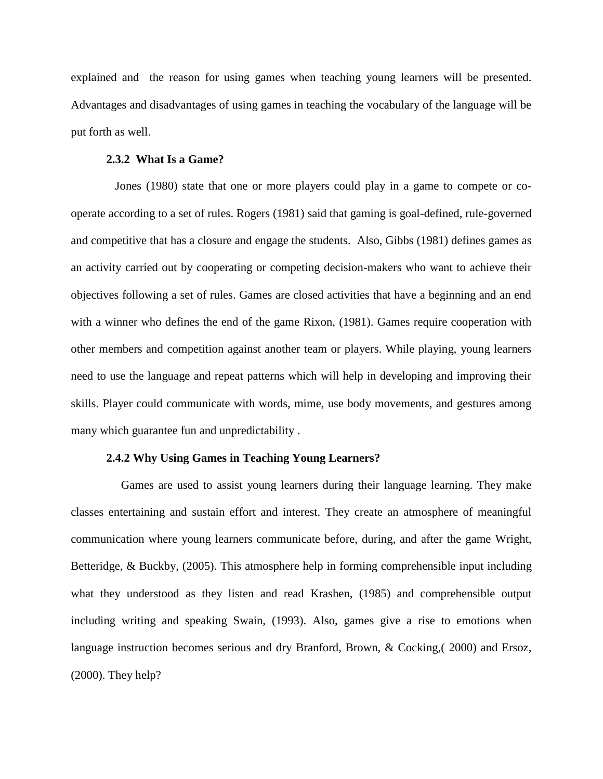explained and the reason for using games when teaching young learners will be presented. Advantages and disadvantages of using games in teaching the vocabulary of the language will be put forth as well.

#### **2.3.2 What Is a Game?**

 Jones (1980) state that one or more players could play in a game to compete or cooperate according to a set of rules. Rogers (1981) said that gaming is goal-defined, rule-governed and competitive that has a closure and engage the students. Also, Gibbs (1981) defines games as an activity carried out by cooperating or competing decision-makers who want to achieve their objectives following a set of rules. Games are closed activities that have a beginning and an end with a winner who defines the end of the game Rixon, (1981). Games require cooperation with other members and competition against another team or players. While playing, young learners need to use the language and repeat patterns which will help in developing and improving their skills. Player could communicate with words, mime, use body movements, and gestures among many which guarantee fun and unpredictability .

#### **2.4.2 Why Using Games in Teaching Young Learners?**

 Games are used to assist young learners during their language learning. They make classes entertaining and sustain effort and interest. They create an atmosphere of meaningful communication where young learners communicate before, during, and after the game Wright, Betteridge, & Buckby, (2005). This atmosphere help in forming comprehensible input including what they understood as they listen and read Krashen, (1985) and comprehensible output including writing and speaking Swain, (1993). Also, games give a rise to emotions when language instruction becomes serious and dry Branford, Brown, & Cocking,( 2000) and Ersoz, (2000). They help?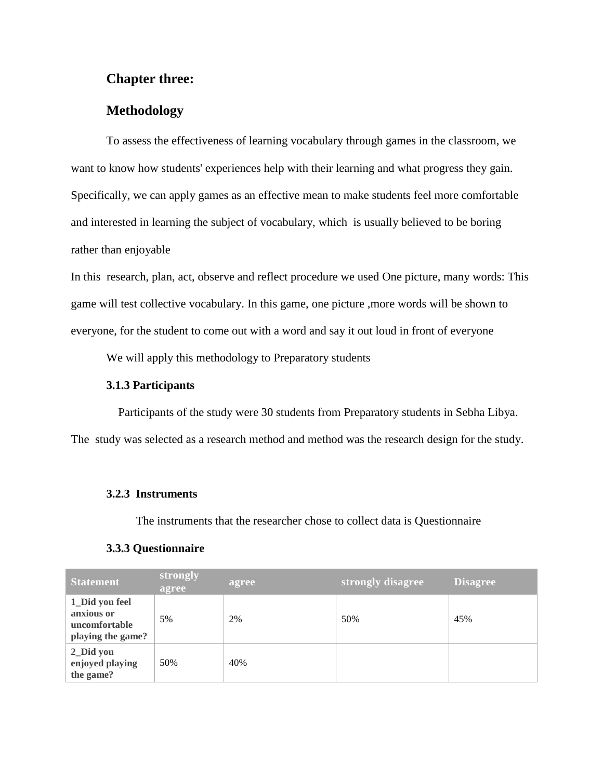### **Chapter three:**

### **Methodology**

To assess the effectiveness of learning vocabulary through games in the classroom, we want to know how students' experiences help with their learning and what progress they gain. Specifically, we can apply games as an effective mean to make students feel more comfortable and interested in learning the subject of vocabulary, which is usually believed to be boring rather than enjoyable

In this research, plan, act, observe and reflect procedure we used One picture, many words: This game will test collective vocabulary. In this game, one picture ,more words will be shown to everyone, for the student to come out with a word and say it out loud in front of everyone

We will apply this methodology to Preparatory students

### **3.1.3 Participants**

 Participants of the study were 30 students from Preparatory students in Sebha Libya. The study was selected as a research method and method was the research design for the study.

### **3.2.3 Instruments**

The instruments that the researcher chose to collect data is Questionnaire

### **3.3.3 Questionnaire**

| <b>Statement</b>                                                   | strongly<br>agree | agree | strongly disagree | <b>Disagree</b> |
|--------------------------------------------------------------------|-------------------|-------|-------------------|-----------------|
| 1_Did you feel<br>anxious or<br>uncomfortable<br>playing the game? | 5%                | 2%    | 50%               | 45%             |
| 2_Did you<br>enjoyed playing<br>the game?                          | 50%               | 40%   |                   |                 |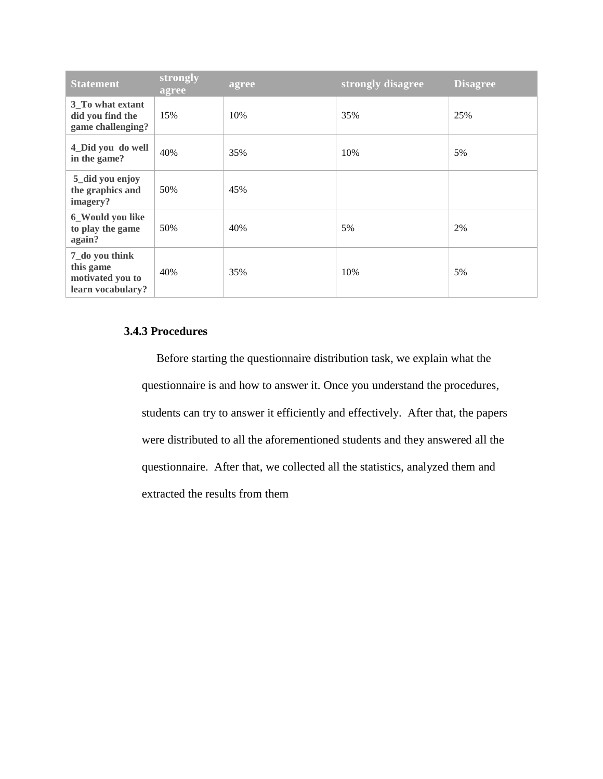| <b>Statement</b>                                                     | strongly<br>agree | agree | strongly disagree | <b>Disagree</b> |
|----------------------------------------------------------------------|-------------------|-------|-------------------|-----------------|
| 3_To what extant<br>did you find the<br>game challenging?            | 15%               | 10%   | 35%               | 25%             |
| 4_Did you do well<br>in the game?                                    | 40%               | 35%   | 10%               | 5%              |
| 5_did you enjoy<br>the graphics and<br>imagery?                      | 50%               | 45%   |                   |                 |
| 6_Would you like<br>to play the game<br>again?                       | 50%               | 40%   | 5%                | 2%              |
| 7_do you think<br>this game<br>motivated you to<br>learn vocabulary? | 40%               | 35%   | 10%               | 5%              |

### **3.4.3 Procedures**

 Before starting the questionnaire distribution task, we explain what the questionnaire is and how to answer it. Once you understand the procedures, students can try to answer it efficiently and effectively. After that, the papers were distributed to all the aforementioned students and they answered all the questionnaire. After that, we collected all the statistics, analyzed them and extracted the results from them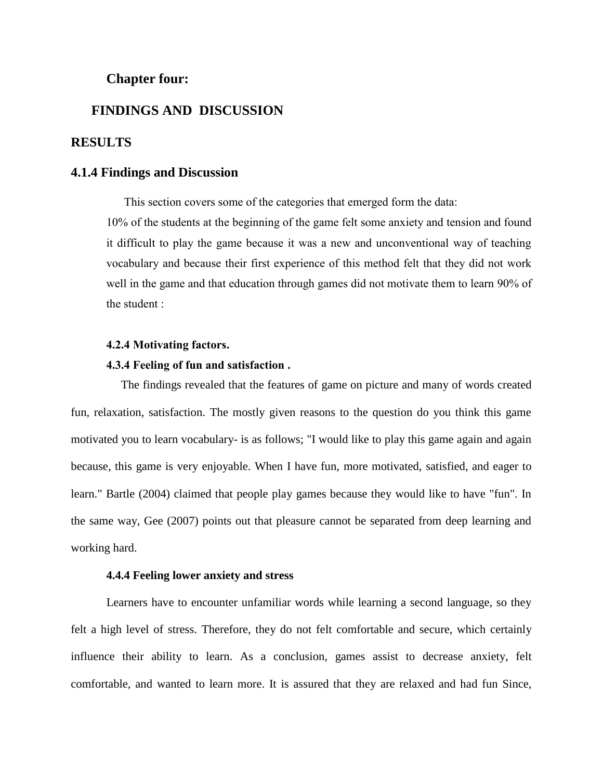### **Chapter four:**

### **FINDINGS AND DISCUSSION**

### **RESULTS**

### **4.1.4 Findings and Discussion**

This section covers some of the categories that emerged form the data:

10% of the students at the beginning of the game felt some anxiety and tension and found it difficult to play the game because it was a new and unconventional way of teaching vocabulary and because their first experience of this method felt that they did not work well in the game and that education through games did not motivate them to learn 90% of the student :

#### **4.2.4 Motivating factors.**

#### **4.3.4 Feeling of fun and satisfaction .**

 The findings revealed that the features of game on picture and many of words created fun, relaxation, satisfaction. The mostly given reasons to the question do you think this game motivated you to learn vocabulary- is as follows; "I would like to play this game again and again because, this game is very enjoyable. When I have fun, more motivated, satisfied, and eager to learn." Bartle (2004) claimed that people play games because they would like to have "fun". In the same way, Gee (2007) points out that pleasure cannot be separated from deep learning and working hard.

#### **4.4.4 Feeling lower anxiety and stress**

 Learners have to encounter unfamiliar words while learning a second language, so they felt a high level of stress. Therefore, they do not felt comfortable and secure, which certainly influence their ability to learn. As a conclusion, games assist to decrease anxiety, felt comfortable, and wanted to learn more. It is assured that they are relaxed and had fun Since,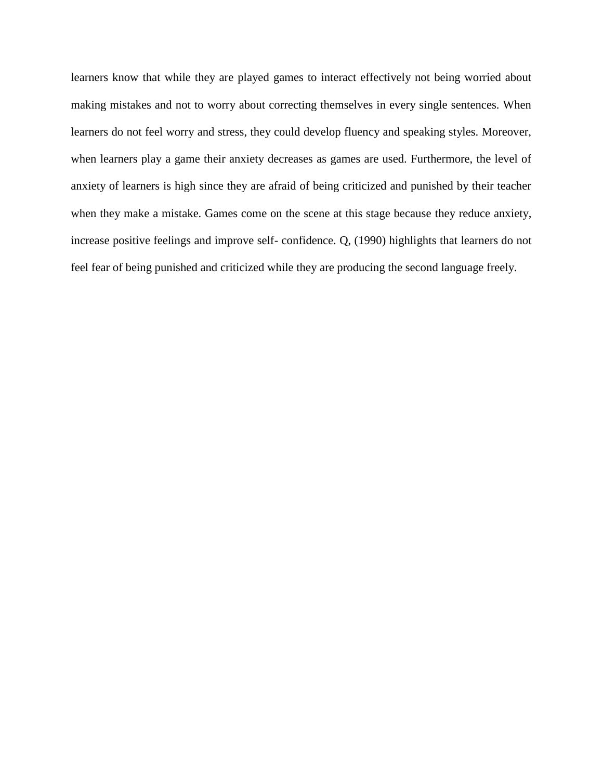learners know that while they are played games to interact effectively not being worried about making mistakes and not to worry about correcting themselves in every single sentences. When learners do not feel worry and stress, they could develop fluency and speaking styles. Moreover, when learners play a game their anxiety decreases as games are used. Furthermore, the level of anxiety of learners is high since they are afraid of being criticized and punished by their teacher when they make a mistake. Games come on the scene at this stage because they reduce anxiety, increase positive feelings and improve self- confidence. Q, (1990) highlights that learners do not feel fear of being punished and criticized while they are producing the second language freely.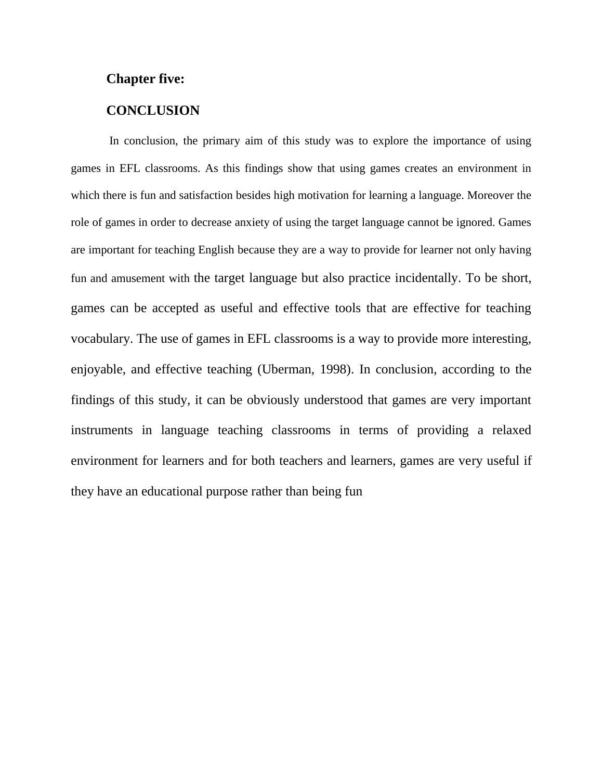### **Chapter five:**

### **CONCLUSION**

In conclusion, the primary aim of this study was to explore the importance of using games in EFL classrooms. As this findings show that using games creates an environment in which there is fun and satisfaction besides high motivation for learning a language. Moreover the role of games in order to decrease anxiety of using the target language cannot be ignored. Games are important for teaching English because they are a way to provide for learner not only having fun and amusement with the target language but also practice incidentally. To be short, games can be accepted as useful and effective tools that are effective for teaching vocabulary. The use of games in EFL classrooms is a way to provide more interesting, enjoyable, and effective teaching (Uberman, 1998). In conclusion, according to the findings of this study, it can be obviously understood that games are very important instruments in language teaching classrooms in terms of providing a relaxed environment for learners and for both teachers and learners, games are very useful if they have an educational purpose rather than being fun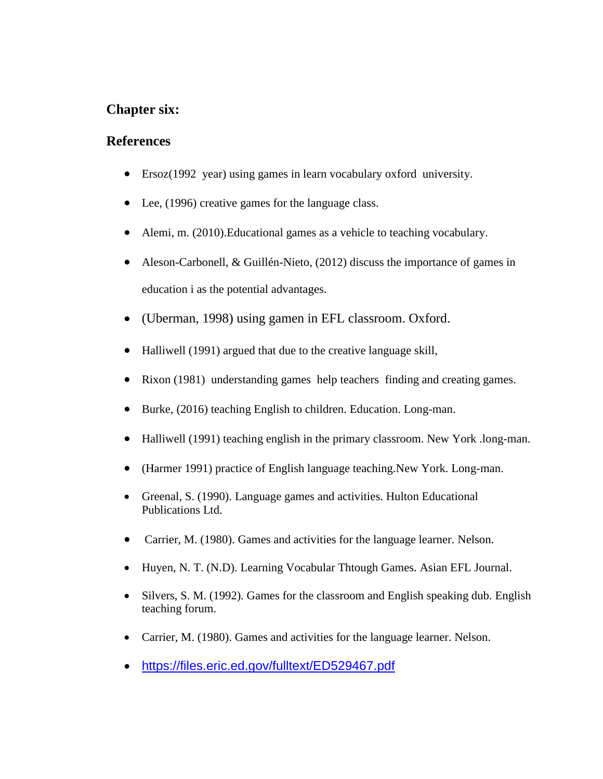## **Chapter six:**

### **References**

- Ersoz(1992 year) using games in learn vocabulary oxford university.
- Lee, (1996) creative games for the language class.
- Alemi, m. (2010).Educational games as a vehicle to teaching vocabulary.
- Aleson-Carbonell, & Guillén-Nieto, (2012) discuss the importance of games in education i as the potential advantages.
- (Uberman, 1998) using gamen in EFL classroom. Oxford.
- Halliwell (1991) argued that due to the creative language skill,
- Rixon (1981) understanding games help teachers finding and creating games.
- Burke, (2016) teaching English to children. Education. Long-man.
- Halliwell (1991) teaching english in the primary classroom. New York .long-man.
- (Harmer 1991) practice of English language teaching.New York. Long-man.
- Greenal, S. (1990). Language games and activities. Hulton Educational Publications Ltd.
- Carrier, M. (1980). Games and activities for the language learner. Nelson.
- Huyen, N. T. (N.D). Learning Vocabular Thtough Games. Asian EFL Journal.
- Silvers, S. M. (1992). Games for the classroom and English speaking dub. English teaching forum.
- Carrier, M. (1980). Games and activities for the language learner. Nelson.
- <https://files.eric.ed.gov/fulltext/ED529467.pdf>